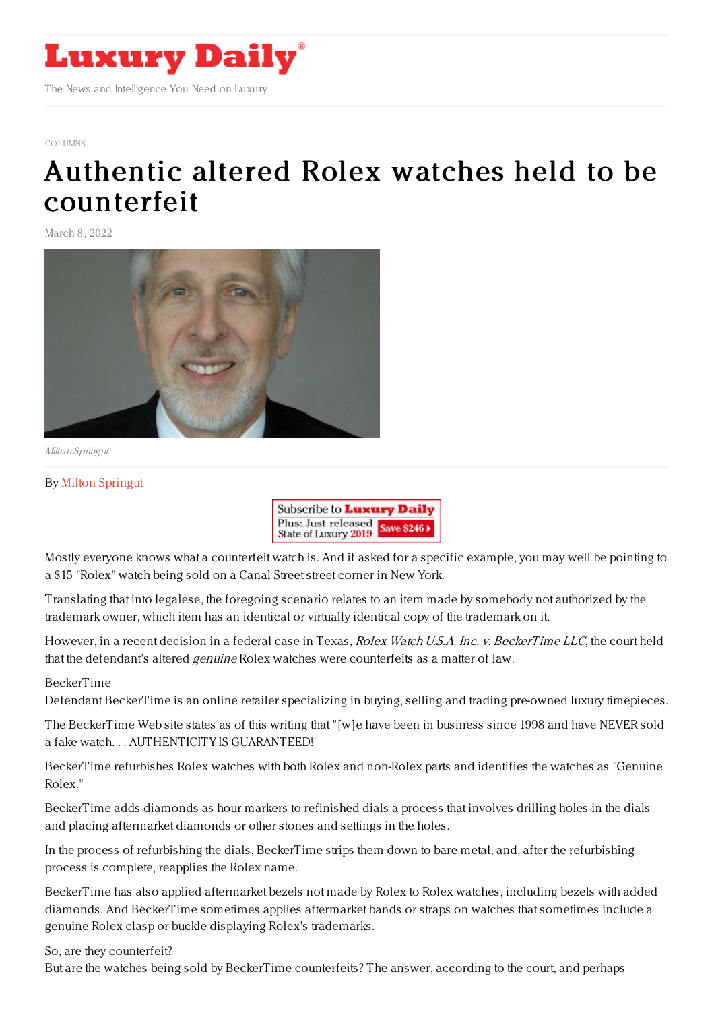

#### [COLUMNS](https://www.luxurydaily.com/category/opinion/columns/)

# Authentic altered Rolex watches held to be [counterfeit](https://www.luxurydaily.com/authentic-altered-rolex-watches-held-to-be-counterfeit/)

March 8, 2022



Milton Springut

### By Milton [Springut](https://www.mosessinger.com/attorneys/milton-springut)



Mostly everyone knows what a counterfeit watch is. And if asked for a specific example, you may well be pointing to a \$15 "Rolex" watch being sold on a Canal Street street corner in New York.

Translating that into legalese, the foregoing scenario relates to an item made by somebody not authorized by the trademark owner, which item has an identical or virtually identical copy of the trademark on it.

However, in a recent decision in a federal case in Texas, *Rolex Watch U.S.A. Inc. v. BeckerTime LLC*, the court held that the defendant's altered genuine Rolex watches were counterfeits as a matter of law.

#### BeckerTime

Defendant BeckerTime is an online retailer specializing in buying, selling and trading pre-owned luxury timepieces.

The BeckerTime Web site states as of this writing that "[w]e have been in business since 1998 and have NEVER sold a fake watch. . . AUTHENTICITY IS GUARANTEED!"

BeckerTime refurbishes Rolex watches with both Rolex and non-Rolex parts and identifies the watches as "Genuine Rolex."

BeckerTime adds diamonds as hour markers to refinished dials a process that involves drilling holes in the dials and placing aftermarket diamonds or other stones and settings in the holes.

In the process of refurbishing the dials, BeckerTime strips them down to bare metal, and, after the refurbishing process is complete, reapplies the Rolex name.

BeckerTime has also applied aftermarket bezels not made by Rolex to Rolex watches, including bezels with added diamonds. And BeckerTime sometimes applies aftermarket bands or straps on watches that sometimes include a genuine Rolex clasp or buckle displaying Rolex's trademarks.

So, are they counterfeit?

But are the watches being sold by BeckerTime counterfeits? The answer, according to the court, and perhaps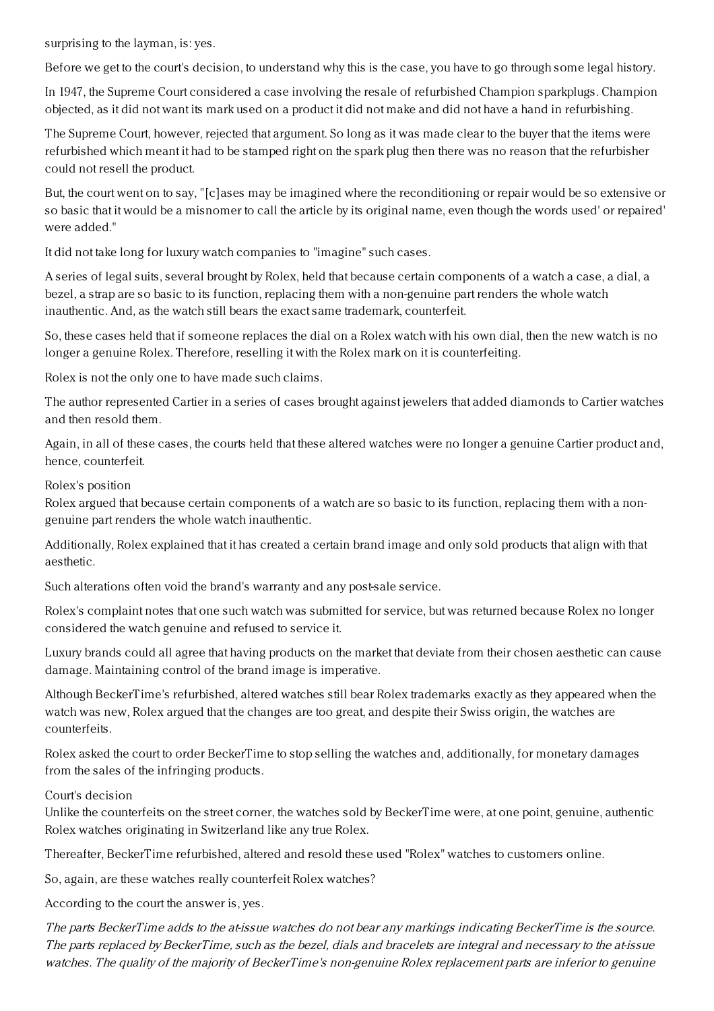surprising to the layman, is: yes.

Before we get to the court's decision, to understand why this is the case, you have to go through some legal history.

In 1947, the Supreme Court considered a case involving the resale of refurbished Champion sparkplugs. Champion objected, as it did not want its mark used on a product it did not make and did not have a hand in refurbishing.

The Supreme Court, however, rejected that argument. So long as it was made clear to the buyer that the items were refurbished which meant it had to be stamped right on the spark plug then there was no reason that the refurbisher could not resell the product.

But, the court went on to say, "[c]ases may be imagined where the reconditioning or repair would be so extensive or so basic that it would be a misnomer to call the article by its original name, even though the words used' or repaired' were added."

It did not take long for luxury watch companies to "imagine" such cases.

A series of legal suits, several brought by Rolex, held that because certain components of a watch a case, a dial, a bezel, a strap are so basic to its function, replacing them with a non-genuine part renders the whole watch inauthentic. And, as the watch still bears the exact same trademark, counterfeit.

So, these cases held that if someone replaces the dial on a Rolex watch with his own dial, then the new watch is no longer a genuine Rolex. Therefore, reselling it with the Rolex mark on it is counterfeiting.

Rolex is not the only one to have made such claims.

The author represented Cartier in a series of cases brought against jewelers that added diamonds to Cartier watches and then resold them.

Again, in all of these cases, the courts held that these altered watches were no longer a genuine Cartier product and, hence, counterfeit.

Rolex's position

Rolex argued that because certain components of a watch are so basic to its function, replacing them with a nongenuine part renders the whole watch inauthentic.

Additionally, Rolex explained that it has created a certain brand image and only sold products that align with that aesthetic.

Such alterations often void the brand's warranty and any post-sale service.

Rolex's complaint notes that one such watch was submitted for service, but was returned because Rolex no longer considered the watch genuine and refused to service it.

Luxury brands could all agree that having products on the market that deviate from their chosen aesthetic can cause damage. Maintaining control of the brand image is imperative.

Although BeckerTime's refurbished, altered watches still bear Rolex trademarks exactly as they appeared when the watch was new, Rolex argued that the changes are too great, and despite their Swiss origin, the watches are counterfeits.

Rolex asked the court to order BeckerTime to stop selling the watches and, additionally, for monetary damages from the sales of the infringing products.

Court's decision

Unlike the counterfeits on the street corner, the watches sold by BeckerTime were, at one point, genuine, authentic Rolex watches originating in Switzerland like any true Rolex.

Thereafter, BeckerTime refurbished, altered and resold these used "Rolex" watches to customers online.

So, again, are these watches really counterfeit Rolex watches?

According to the court the answer is, yes.

The parts BeckerTime adds to the at-issue watches do not bear any markings indicating BeckerTime is the source. The parts replaced by BeckerTime, such as the bezel, dials and bracelets are integral and necessary to the at-issue watches. The quality of the majority of BeckerTime's non-genuine Rolex replacement parts are inferior to genuine